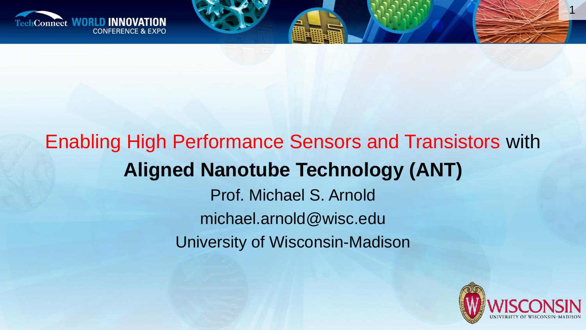

### Enabling High Performance Sensors and Transistors with **Aligned Nanotube Technology (ANT)** Prof. Michael S. Arnold michael.arnold@wisc.edu

University of Wisconsin-Madison



1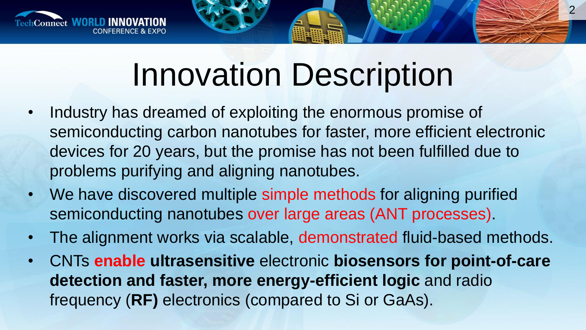

## Innovation Description

2

- Industry has dreamed of exploiting the enormous promise of semiconducting carbon nanotubes for faster, more efficient electronic devices for 20 years, but the promise has not been fulfilled due to problems purifying and aligning nanotubes.
- We have discovered multiple simple methods for aligning purified semiconducting nanotubes over large areas (ANT processes).
- The alignment works via scalable, demonstrated fluid-based methods.
- CNTs **enable ultrasensitive** electronic **biosensors for point-of-care detection and faster, more energy-efficient logic** and radio frequency (**RF)** electronics (compared to Si or GaAs).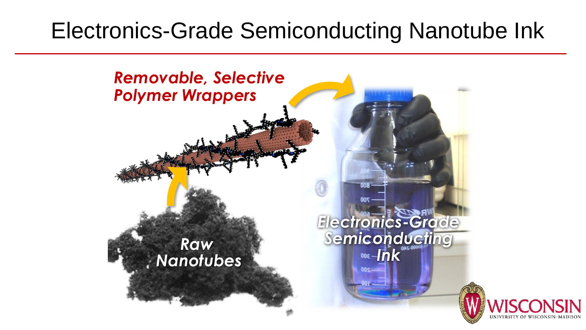#### Electronics-Grade Semiconducting Nanotube Ink

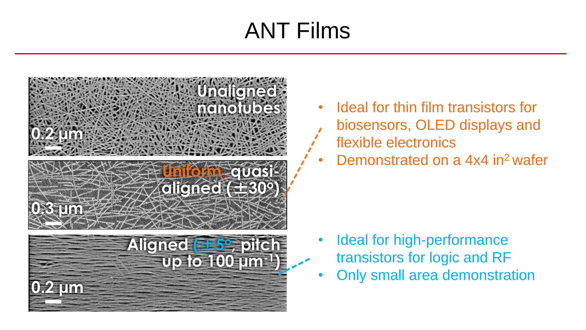### ANT Films



- Ideal for thin film transistors for biosensors, OLED displays and flexible electronics
- Demonstrated on a 4x4 in<sup>2</sup> wafer

- Ideal for high-performance transistors for logic and RF
- Only small area demonstration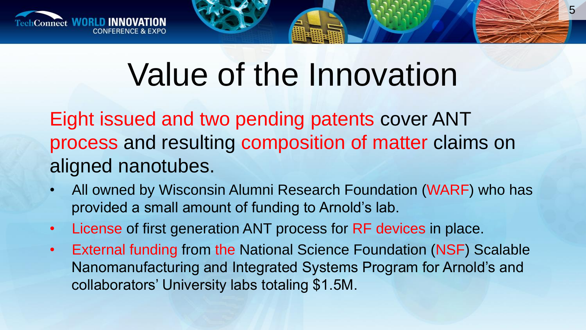

## Value of the Innovation

Eight issued and two pending patents cover ANT process and resulting composition of matter claims on aligned nanotubes.

- All owned by Wisconsin Alumni Research Foundation (WARF) who has provided a small amount of funding to Arnold's lab.
- License of first generation ANT process for RF devices in place.
- External funding from the National Science Foundation (NSF) Scalable Nanomanufacturing and Integrated Systems Program for Arnold's and collaborators' University labs totaling \$1.5M.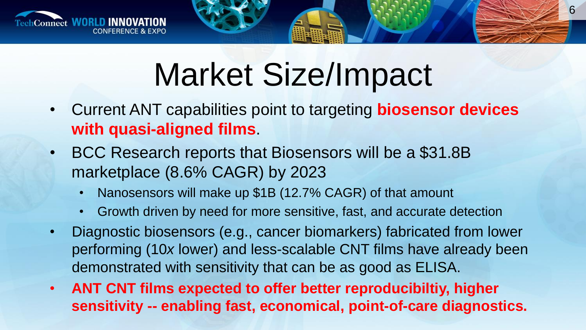

# Market Size/Impact

- Current ANT capabilities point to targeting **biosensor devices with quasi-aligned films**.
- BCC Research reports that Biosensors will be a \$31.8B marketplace (8.6% CAGR) by 2023
	- Nanosensors will make up \$1B (12.7% CAGR) of that amount
	- Growth driven by need for more sensitive, fast, and accurate detection
- Diagnostic biosensors (e.g., cancer biomarkers) fabricated from lower performing (10*x* lower) and less-scalable CNT films have already been demonstrated with sensitivity that can be as good as ELISA.
- **ANT CNT films expected to offer better reproducibiltiy, higher sensitivity -- enabling fast, economical, point-of-care diagnostics.**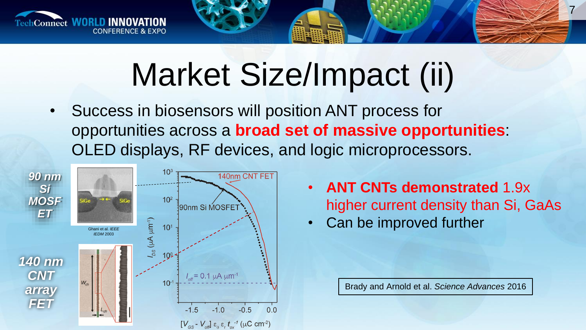

# Market Size/Impact (ii)

• Success in biosensors will position ANT process for opportunities across a **broad set of massive opportunities**: OLED displays, RF devices, and logic microprocessors.



• **ANT CNTs demonstrated** 1.9x higher current density than Si, GaAs

7

• Can be improved further

Brady and Arnold et al. *Science Advances* 2016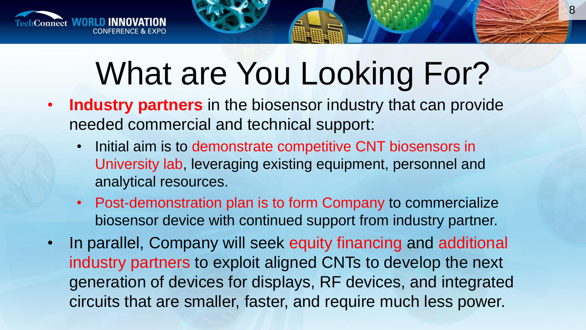

# What are You Looking For?

- **Industry partners** in the biosensor industry that can provide needed commercial and technical support:
	- Initial aim is to demonstrate competitive CNT biosensors in University lab, leveraging existing equipment, personnel and analytical resources.
	- Post-demonstration plan is to form Company to commercialize biosensor device with continued support from industry partner.
- In parallel, Company will seek equity financing and additional industry partners to exploit aligned CNTs to develop the next generation of devices for displays, RF devices, and integrated circuits that are smaller, faster, and require much less power.